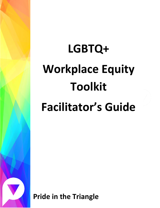# **LGBTQ+ Workplace Equity Toolkit Facilitator's Guide**

**Pride in the Triangle**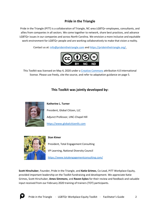# **Pride in the Triangle**

Pride in the Triangle (PITT) is a collaboration of Triangle, NC-area LGBTQ+ employees, consultants, and allies from companies in all sectors. We come together to network, share best practices, and advance LGBTQ+ issues in our companies and across North Carolina. We envision a more inclusive and equitable work environment for LGBTQ+ people and are working collaboratively to make that vision a reality.

Contact us at: [info@prideinthetriangle.com](mailto:info@prideinthetriangle.com) and [https://prideinthetriangle.org/.](https://prideinthetriangle.org/)



This Toolkit was licensed on May 4, 2020 under a [Creative Commons](https://creativecommons.org/) attribution 4.0 international license. Please use freely, cite the source, and refer to adaptation guidance on page 5.

# **This Toolkit was jointly developed by:**



**Katherine L. Turner**

President, Global Citizen, LLC

Adjunct Professor, UNC-Chapel Hill

[https://www.globalcitizenllc.com](https://www.globalcitizenllc.com/)



#### **Stan Kimer**

President, Total Engagement Consulting

VP Learning, National Diversity Council

<https://www.totalengagementconsulting.com/>

**Scott Hirschuber**, Founder, Pride in the Triangle, and **Katie Grimes**, Co-Lead, PITT Workplace Equity, provided important leadership on the Toolkit fundraising and development. We appreciate Katie Grimes, Scott Hirschuber, **Ames Simmons**, and **Raven Sykes** for their review and feedback and valuable input received from our February 2020 training of trainers (TOT) participants.

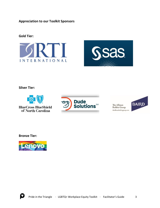**Appreciation to our Toolkit Sponsors**

# **Gold Tier:**





**Silver Tier:**



**BlueCross BlueShield** of North Carolina



The Allman **Bobbie Group** theallmanbobbiegroup.com



**Bronze Tier:**



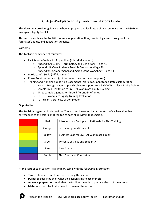# **LGBTQ+ Workplace Equity Toolkit Facilitator's Guide**

This document provides guidance on how to prepare and facilitate training sessions using the LGBTQ+ Workplace Equity Toolkit.

This section explains the Toolkit contents, organization, flow, terminology used throughout the facilitator's guide, and adaptation guidance.

#### **Contents**

The Toolkit is comprised of four files:

- Facilitator's Guide with Appendices (this pdf document)
	- o Appendix A: LGBTQ+ Terminology and Definitions Page 41
	- o Appendix B: Case Studies Possible Responses Page 46
	- o Appendix C: Commitments and Action Steps Worksheet Page 54
- Participant's Guide (pdf document)
- PowerPoint presentation (ppt document; customization required)
- Training and Planning Supporting Documents (Word document to facilitate customization)
	- $\circ$  How to Engage Leadership and Cultivate Support for LGBTQ+ Workplace Equity Training
	- o Sample Email Invitation to LGBTQ+ Workplace Equity Training
	- o Three sample agendas for three different timeframes
	- o LGBTQ+ Workplace Equity Training Evaluation
	- o Participant Certificate of Completion

#### **Organization**

The Toolkit is organized in six sections. There is a color-coded bar at the start of each section that corresponds to the color bar at the top of each slide within that section.

| Red    | Introductions, Set Up, and Rationale for This Training |
|--------|--------------------------------------------------------|
| Orange | <b>Terminology and Concepts</b>                        |
| Yellow | Business Case for LGBTQ+ Workplace Equity              |
| Green  | <b>Unconscious Bias and Solidarity</b>                 |
| Blue   | Case Studies                                           |
| Purple | Next Steps and Conclusion                              |

At the start of each section is a summary table with the following information:

- **Time**: estimated time frame for covering the section
- **Purpose**: a description of what the section aims to accomplish
- **Advance preparation**: work that the facilitator needs to prepare ahead of the training
- **Materials**: items facilitators need to present the section

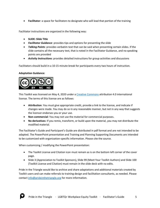• **Facilitator**: a space for facilitators to designate who will lead that portion of the training

Facilitator instructions are organized in the following way:

- **SLIDE: Slide Title**
- *Facilitator Guidance*: provides tips and options for presenting the slide
- *Talking Points*: provides verbatim text that can be said when presenting certain slides. If the slide contains all the necessary text, that is noted in the Facilitator Guidance, and no speaking points are provided
- *Activity Instructions*: provides detailed instructions for group activities and discussions

Facilitators should build in a 10-15 minute break for participants every two hours of instruction.

# **Adaptation Guidance:**



This Toolkit was licensed on May 4, 2020 under a [Creative Commons](https://creativecommons.org/) attribution 4.0 international license. The terms of this license are as follows:

- **Attribution**: You must give appropriate credit, provide a link to the license, and indicate if changes were made. You may do so in any reasonable manner, but not in any way that suggests the licensor endorses you or your use.
- **Non-commercial**: You may not use the material for commercial purposes.
- **No derivatives**: If you remix, transform, or build upon the material, you may not distribute the modified material.

The Facilitator's Guide and Participant's Guide are distributed in pdf format and are not intended to be adapted. The PowerPoint presentation and Training and Planning Supporting Documents are intended to be customized with organization-specific information. Please cite the source.

When customizing / modifying the PowerPoint presentation:

- The Toolkit License and Citation icon must remain as is on the bottom left corner of the cover page.
- Slide 3 (Appreciation to Toolkit Sponsors), Slide 99 (Meet Your Toolkit Authors) and Slide 100 (Toolkit License and Citation) must remain in the slide deck with no edits.

Pride in the Triangle would like to archive and share adaptations and additional materials created by Toolkit users and can make referrals to training design and facilitation consultants, as needed. Please contact [info@prideinthetriangle.org](mailto:info@prideinthetriangle.org) for more information.

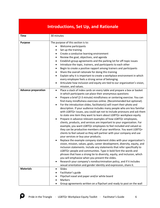# **Introductions, Set Up, and Rationale**

| <b>Time</b>                | 30 minutes                                                                                                                                                                                                                                                                                                                                                                                                                                                                                                                                                                                                                                                                                                                                                                                                                                                                                                                                                                                                                                                                                                                                                                                                                                                                                                                                                                                                                                                                                                                                                                                                                  |
|----------------------------|-----------------------------------------------------------------------------------------------------------------------------------------------------------------------------------------------------------------------------------------------------------------------------------------------------------------------------------------------------------------------------------------------------------------------------------------------------------------------------------------------------------------------------------------------------------------------------------------------------------------------------------------------------------------------------------------------------------------------------------------------------------------------------------------------------------------------------------------------------------------------------------------------------------------------------------------------------------------------------------------------------------------------------------------------------------------------------------------------------------------------------------------------------------------------------------------------------------------------------------------------------------------------------------------------------------------------------------------------------------------------------------------------------------------------------------------------------------------------------------------------------------------------------------------------------------------------------------------------------------------------------|
| <b>Purpose</b>             | The purpose of this section is to:<br>Welcome participants<br>Set up the training<br>Create a conducive learning environment<br>$\bullet$<br>Review the goal, objectives, and agenda<br>$\bullet$<br>Establish group agreements and the parking lot for off-topic issues<br>$\bullet$<br>Introduce the topic, trainers, and participants to each other<br>$\bullet$<br>Begin to create a positive rapport among trainers and participants<br>$\bullet$<br>Share the overall rationale for doing this training<br>٠<br>Explain why it is important to create a workplace environment in which<br>$\bullet$<br>every employee feels a strong sense of belonging.<br>Articulate how inclusion and equity are tied to our organization's vision,<br>mission, and values.                                                                                                                                                                                                                                                                                                                                                                                                                                                                                                                                                                                                                                                                                                                                                                                                                                                        |
| <b>Advance preparation</b> | Place a stack of index cards on every table and prepare a box or basket<br>$\bullet$<br>in which participants can place their anonymous questions<br>Prepare a brief (2-3 minute) mindfulness or centering exercise. You can<br>$\bullet$<br>find many mindfulness exercises online. (Recommended but optional).<br>For the introduction slides, facilitator(s) will insert their photo and<br>description. If your audience includes many people who are less familiar<br>with LGBTQ+ issues, you could opt not to include pronouns and ask them<br>to state one item they want to learn about LGBTQ+ workplace equity.<br>Prepare in advance relevant examples of how LGBTQ+ employees,<br>clients, products, and services are important to your organization. For<br>example, you want LGBTQ+ employees to feel included and valued so<br>they can be productive members of your workforce. You want LGBTQ+<br>clients to feel valued so they will partner with your company and use<br>your services or buy your products.<br>Replace the example company statement slides with your organization's<br>vision, mission, values, goals, career development, diversity, equity, and<br>inclusion statements. Include any statements that refer specifically to<br>LGBTQ+ people and communities. Type in bold font the words and<br>phrases that have a strong tie to diversity, equity, and inclusion, which<br>you will emphasize when you present the slides.<br>Research your company's nondiscrimination policy, and if it includes<br>$\bullet$<br>sexual orientation and gender identity and expression, share it. |
| <b>Materials</b>           | Slides<br>Facilitator's guide<br>Flipchart easel and paper and/or white board<br><b>Markers</b><br>Group agreements written on a flipchart and ready to post on the wall                                                                                                                                                                                                                                                                                                                                                                                                                                                                                                                                                                                                                                                                                                                                                                                                                                                                                                                                                                                                                                                                                                                                                                                                                                                                                                                                                                                                                                                    |

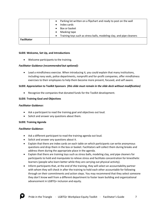|                    | Parking lot written on a flipchart and ready to post on the wall<br>$\bullet$     |
|--------------------|-----------------------------------------------------------------------------------|
|                    | Index cards<br>$\bullet$                                                          |
|                    | Box or basket<br>$\bullet$                                                        |
|                    | Masking tape<br>$\bullet$                                                         |
|                    | Training toys such as stress balls, modeling clay, and pipe cleaners<br>$\bullet$ |
| <b>Facilitator</b> |                                                                                   |
|                    |                                                                                   |

#### **SLIDE: Welcome, Set Up, and Introductions**

• Welcome participants to the training.

#### *Facilitator Guidance (recommended but optional):*

• Lead a mindfulness exercise. When introducing it, you could explain that many institutions, including navy seals, police departments, nonprofit and for-profit companies, offer mindfulness exercises to their employees to help them become more present, focused, and self aware.

#### **SLIDE: Appreciation to Toolkit Sponsors** *(this slide must remain in the slide deck without modification)*

• Recognize the companies that donated funds for the Toolkit development.

#### **SLIDE: Training Goal and Objectives**

#### *Facilitator Guidance:*

- Ask a participant to read the training goal and objectives out loud.
- Solicit and answer any questions about them.

#### **SLIDE: Training Agenda**

#### *Facilitator Guidance:*

- Ask a different participant to read the training agenda out loud.
- Solicit and answer any questions about it.
- Explain that there are index cards on each table on which participants can write anonymous questions and drop them in the box or basket. Facilitators will collect them during breaks and address them during the appropriate place in the agenda.
- Explain that there are training toys such as stress balls, modeling clay, and pipe cleaners for participants to hold and manipulate to relieve stress and facilitate concentration for kinesthetic learners (people who learn better while they are carrying out physical activity).
- Inform participants that, at the end of the training, they will select an accountability partner with whom they will check in after the training to hold each other accountable for following through on their commitments and action steps. You may recommend that they select someone they don't know well from a different department to foster team building and organizational advancement in LGBTQ+ inclusion and equity.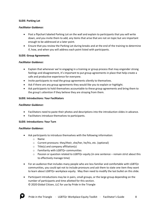#### **SLIDE: Parking Lot**

#### *Facilitator Guidance:*

- Post a flipchart labeled Parking Lot on the wall and explain to participants that you will write down, and you invite them to add, any items that arise that are not on topic but are important enough to be addressed at a later point.
- Ensure that you review the Parking Lot during breaks and at the end of the training to determine if, how, and when you will address each point listed with participants.

# **SLIDE: Group Agreements**

# *Facilitator Guidance:*

- Explain that whenever we're engaging in a training or group process that may engender strong feelings and disagreement, it's important to put group agreements in place that help create a safe and productive experience for everyone.
- Invite participants to read the group agreements silently to themselves.
- Ask if there are any group agreements they would like you to explain or highlight.
- Ask participants to hold themselves accountable to these group agreements and bring them to the group's attention if they believe they are straying from them.

# **SLIDE: Introductions: Your Facilitators**

#### *Facilitator Guidance:*

- Facilitators need to paste their photos and descriptions into the introduction slides in advance.
- Facilitators introduce themselves to participants.

#### **SLIDE: Introductions: Your Turn**

#### *Facilitator Guidance:*

- Ask participants to introduce themselves with the following information:
	- o Name
	- o Current pronouns: they/their, she/her, he/his, etc. (optional)
	- $\circ$  Title(s) and company affiliation(s)
	- o Familiarity with LGBTQ+ communities
	- $\circ$  Passion or question related to LGBTQ+ equity (in one sentence remain strict about this to effectively manage time)
- For an audience that includes many people who are less familiar and comfortable with LGBTQ+ communities, you could opt not to include pronouns and ask them to state one item they want to learn about LGBTQ+ workplace equity. May then need to modify the last bullet on this slide.
- Participant introductions may be in pairs, small groups, or the large group depending on the number of participants and time allotted for this section. © 2020 Global Citizen, LLC for use by Pride in the Triangle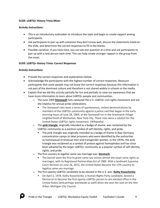#### **SLIDE: LGBTQ+ History Trivia Mixer**

#### *Activity Instructions:*

- This is an introductory icebreaker to introduce the topic and begin to create rapport among participants.
- Ask participants to pair up with someone they don't know well, discuss the statements listed on the slide, and determine the correct responses to fill in the blanks.
- Possible variation: If you have time, you can ask one question at a time and ask participants to pair up with a new person each time. This can help create stronger rapport in the group from the onset.

# **SLIDE: LGBTQ+ History Trivia: Correct Responses**

# *Activity Instructions:*

- Provide the correct responses and explanations below.
- Acknowledge the participants with the highest number of correct responses. Reassure participants that some people may not know the correct responses because this information is not part of the dominant culture and therefore is not shared widely in schools or the media.
- Explain that we did this activity partially for fun and partially to raise our awareness that we have more information to learn about LGBTQ+ people and communities.
	- o The June 1969 **Stonewall** riots catalyzed the U.S. LGBTQ+ civil rights movement and are the impetus for annual pride celebrations.
		- **•** The Stonewall riots were a series of spontaneous, violent demonstrations by members of the LGBTQ+ community against a police raid that began in the early morning hours of June 28, 1969, at the Stonewall Inn in the Greenwich Village neighborhood of Manhattan, New York City. These riots were a catalyst for the United States LGBTQ+ rights movement. (Wikipedia)
	- o The **pink triangle**, originally intended as a badge of shame, was reclaimed by the LGBTQ+ community as a positive symbol of self identity, rights, and pride.
		- **•** The pink triangle was originally intended as a [badge of shame](https://en.wikipedia.org/wiki/Badge_of_shame) in Nazi Germany concentration camps to label prisoners who were identified by the authorities as [homosexual](https://en.wikipedia.org/wiki/Homosexuality) or bisexual men and [transgender women.](https://en.wikipedia.org/wiki/Transgender_women) In the 1970s, the pink triangle was reclaimed as a symbol of protest against [homophobia](https://en.wikipedia.org/wiki/Homophobia) and has since been adopted by the larger LGBTQ+ community as a popular symbol of self identity, rights, and [pride.](https://en.wikipedia.org/wiki/Gay_pride)
	- o The first country to legalize same-sex marriage was: **Denmark**.
		- The Danish were the first to grant same-sex unions almost the exact same rights as marriages, with its Registered Partnerships Act of 1989. With a landmark Supreme Court decision on June 26, 2015, the United States became the 17th country to legalize same-sex marriage.
	- o The first openly-LGBTQ+ candidate to be elected in the U.S. was: **Kathy Kozachenko**.
		- On April 2, 1974, Kathy Kozachenko, a [Human Rights Party](https://en.wikipedia.org/wiki/Human_Rights_Party_(United_States)) candidate, bested a Democrat to become the first openly-LGBTQ+ person to win elected office in the United States (and perhaps worldwide as well) when she won her seat on the Ann Arbor, Michigan City Council.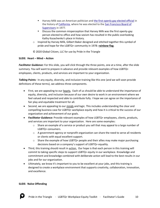- Harvey Milk was an American politician and [the first openly gay elected official](https://en.wikipedia.org/wiki/List_of_the_first_LGBT_holders_of_political_offices_in_the_United_States) in the history of [California,](https://en.wikipedia.org/wiki/California) where he was elected to the [San Francisco Board of](https://en.wikipedia.org/wiki/San_Francisco_Board_of_Supervisors)  [Supervisors](https://en.wikipedia.org/wiki/San_Francisco_Board_of_Supervisors) in 1977.
- Discuss the common misperception that Harvey Milk was the first openly-gay person elected to office and how sexism has resulted in the public overlooking Kathy Kozachenko's place in history.
- $\circ$  Inspired by Harvey Milk, Gilbert Baker designed and stitched together this symbol of pride and hope for the LGBTQ+ community in 1978: **rainbow flag**.

© 2020 Global Citizen, LLC for use by Pride in the Triangle

# **SLIDE: Heart – Mind – Action**

*Facilitator Guidance:* For this slide, you will click through the three points, one at a time, after the slide summary. You will want to prepare in advance and provide relevant examples of how LGBTQ+ employees, clients, products, and services are important to your organization.

*Talking Points:* In any equity, diversity, and inclusion training like this one (and we will soon provide definitions of these terms), we address three components.

- First, we are appealing to our hearts. Each of us should be able to understand the importance of equity, diversity, and inclusion because of our own desire to work in an environment where we feel valued and respected and able to contribute fully. I hope we can agree on the importance of fair play and equitable treatment for all.
- Second, we are appealing to our minds and logic. This includes understanding the clear and compelling business case for LGBTQ+ workplace equity and how it is critical to the success of our organization and achievement of our goals.
- *Facilitator Guidance:* Provide relevant examples of how LGBTQ+ employees, clients, products, and services are important to your organization. Here are some examples:
	- $\circ$  Share an example of a service or product you sell that may appeal to a large number of LGBTQ+ consumers.
	- $\circ$  A government agency or nonprofit organization can share the need to serve all residents or clients with equal excellent support.
	- $\circ$  Share the example of how LGBTQ+ people and their allies may make major purchasing decisions based on a company's support of LGBTQ+ equality.
- Third, this training should result in action. Our hope is that each person in this training will commit to taking specific steps to support LGBTQ+ equity in our workplace. Knowledge and commitment and knowledge combined with deliberate action will lead to the best results in our jobs and for our organization.
- Ultimately, we know it's important to you to be excellent at your jobs, and this training is designed to create a workplace environment that supports creativity, collaboration, innovation, and excellence.

#### **SLIDE: Naïve Offending**

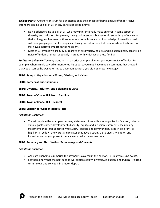*Talking Points:* Another construct for our discussion is the concept of being a naïve offender. Naïve offenders can include all of us, at any particular point in time.

- Naïve offenders include all of us, who may unintentionally make an error in some aspect of diversity and inclusion. People may have good intentions but say or do something offensive to their colleagues. Frequently, these missteps come from a lack of knowledge. As we discussed with our group agreements, people can have good intentions, but their words and actions can still have a harmful impact on the recipient.
- Most of us, even if we are fully supportive of all diversity, equity, and inclusion ideals, can still be naïve offenders at times, especially in areas with which we are less familiar.

*Facilitator Guidance:* You may want to share a brief example of when you were a naïve offender. For example, when a male coworker mentioned his spouse, you may have made a comment that showed that you assumed he was referring to a woman because you did not know he was gay.

# **SLIDE: Tying to Organizational Vision, Mission, and Values**

# **SLIDE: Careers at Dude Solutions**

**SLIDE: Diversity, Inclusion, and Belonging at Citrix**

**SLIDE: Town of Chapel Hill, North Carolina**

**SLIDE: Town of Chapel Hill – Respect**

#### **SLIDE: Support for Gender Identity - RTI**

#### *Facilitator Guidance:*

• You will replace the example company statement slides with your organization's vision, mission, values, goals, career development, diversity, equity, and inclusion statements. Include any statements that refer specifically to LGBTQ+ people and communities. Type in bold font, or highlight in yellow, the words and phrases that have a strong tie to diversity, equity, and inclusion, and as you present them, clearly make the connections.

# **SLIDE: Summary and Next Section: Terminology and Concepts**

#### *Facilitator Guidance*:

- Ask participants to summarize the key points covered in this section. Fill in any missing points.
- Let them know that the next section will explore equity, diversity, inclusion, and LGBTQ+-related terminology and concepts in greater depth.

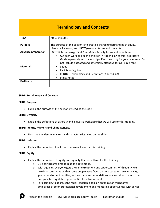# **Terminology and Concepts**

| <b>Time</b>                | 40-50 minutes                                                                                                                              |
|----------------------------|--------------------------------------------------------------------------------------------------------------------------------------------|
| <b>Purpose</b>             | The purpose of this section is to create a shared understanding of equity,<br>diversity, inclusion, and LGBTQ+-related terms and concepts. |
|                            |                                                                                                                                            |
| <b>Advance preparation</b> | LGBTQ+ Terminology: Find Your Match Activity terms and definitions                                                                         |
|                            | Cut each word and each definition in Appendix A of this Facilitator's<br>$\bullet$                                                         |
|                            | Guide separately into paper strips. Keep one copy for your reference. Do                                                                   |
|                            | not include outdated and potentially offensive terms (in red font).                                                                        |
| <b>Materials</b>           | Slides                                                                                                                                     |
|                            | Facilitator's guide                                                                                                                        |
|                            | LGBTQ+ Terminology and Definitions (Appendix A)                                                                                            |
|                            | Sticky notes                                                                                                                               |
| <b>Facilitator</b>         |                                                                                                                                            |

#### **SLIDE: Terminology and Concepts**

#### **SLIDE: Purpose**

• Explain the purpose of this section by reading the slide.

#### **SLIDE: Diversity**

• Explain the definitions of diversity and a diverse workplace that we will use for this training.

#### **SLIDE: Identity Markers and Characteristics**

• Describe the identity markers and characteristics listed on the slide.

#### **SLIDE: Inclusion**

• Explain the definition of inclusion that we will use for this training.

#### **SLIDE: Equity**

- Explain the definitions of equity and equality that we will use for this training.
	- o Give participants time to read the definitions.
	- $\circ$  With equality, everyone gets the same treatment and opportunities. With equity, we take into consideration that some people have faced barriers based on race, ethnicity, gender, and other identities, and we make accommodations to account for them so that everyone has equitable opportunities for advancement.
	- $\circ$  For example, to address the racial leadership gap, an organization might offer employees of color professional development and mentoring opportunities with senior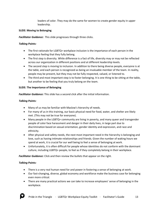leaders of color. They may do the same for women to create gender equity in upper leadership.

# **SLIDE: Moving to Belonging**

*Facilitator Guidance:* This slide progresses through three clicks.

# *Talking Points:*

- The first rationale for LGBTQ+ workplace inclusion is the importance of each person in the workplace feeling that they fully belong.
- The first step is diversity. While difference is a fact of life, diversity may or may not be reflected across our organization in different positions and at different leadership levels.
- The second step is moving to inclusion. In addition to there being diverse people, everyone is at the table, and each person is recognized as being an invaluable member of the team. In reality, people may be present, but they may not be fully respected, valued, or listened to.
- The third and most important step is to foster belonging. It is one thing to be sitting at the table, but another to be feeling that you truly belong on the team.

# **SLIDE: The Importance of Belonging**

*Facilitator Guidance:* This slide has a second click after the initial information.

# *Talking Points:*

- Many of us may be familiar with Maslow's hierarchy of needs.
- For many of us in this training, our basic physical need for food, water, and shelter are likely met. (This may not be true for everyone).
- Many people in the LGBTQ+ community are living in poverty, and many queer and transgender people of color face harassment and danger in their daily lives, in large part due to discrimination based on sexual orientation, gender identity and expression, and race and ethnicity.
- After physical and safety needs, the next most important need in the hierarchy is belonging and love, such as having intimate relationships and friends. Given the number of waking hours we spend at work, it is crucial for our well being to feel a sense of belonging at work.
- Unfortunately, it is often difficult for people whose identities do not conform with the dominant culture, including LGBTQ+ people, to feel as if they completely belong in their workplace.

*Facilitator Guidance:* Click and then review the bullets that appear on the right.

- There is a very real human need for and power in fostering a sense of belonging at work.
- Our fast-changing, diverse, global economy and workforce make the business case for belonging even more critical.
- There are many practical actions we can take to increase employees' sense of belonging in the workplace.

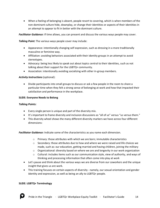• When a feeling of belonging is absent, people resort to covering, which is when members of the non-dominant culture hide, downplay, or change their identities or aspects of their identities in an attempt to appear to fit in better with the dominant culture.

*Facilitator Guidance:* If time allows, you can present and discuss the various ways people may cover.

*Talking Point:* The various ways people cover may include:

- Appearance: intentionally changing self expression, such as dressing in a more traditionally masculine or feminine way.
- Affiliation: avoiding behaviors associated with their identity groups in an attempt to avoid stereotypes.
- Advocacy: being less likely to speak out about topics central to their identities, such as not talking about their support for the LGBTQ+ community.
- Association: intentionally avoiding socializing with other in-group members.

# *Activity Instructions* (optional):

• Divide participants into small groups to discuss or ask a few people in the room to share a particular time when they felt a strong sense of belonging at work and how that impacted their satisfaction and performance in the workplace.

#### **SLIDE: Everyone Needs to Belong**

#### *Talking Points:*

- Every single person is unique and part of the diversity mix.
- It's important to frame diversity and inclusion discussions as "all of us" versus "us versus them."
- This diversity wheel shows the many different diversity markers we have across four different dimensions:

*Facilitator Guidance:* Indicate some of the characteristics as you name each dimension.

- $\circ$  Primary: those attributes with which we are born; immutable characteristics
- $\circ$  Secondary: those attributes due to how and where we were raised and life choices we made, such as: our education, getting married and having children, joining the military
- $\circ$  Organizational: diversity based on where we are and longevity in our work organization
- $\circ$  Cultural: includes items such as our communication style, view of authority, and ways of thinking and processing information that often come into play at work
- Let's pause and think about the various ways we are diverse from our coworkers and the unique insight that gives us are work.
- This training focuses on certain aspects of diversity namely, our sexual orientation and gender identity and expression, as well as being an ally to LGBTQ+ people.

#### **SLIDE: LGBTQ+ Terminology**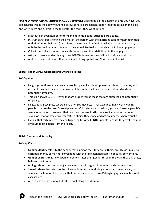*Find Your Match Activity Instructions (10-20 minutes)***:** Depending on the amount of time you have, you can conduct this as the activity outlined below or have participants silently read the terms on the slide and write down and submit to the facilitator the terms they want defined.

- Distribute an even number of term and definition paper strips to participants.
- Instruct participants to find their match (the person with the matching term for their definition or definition for their term) and discuss the term and definition. Ask them to submit a sticky note to the facilitator with any term they would like to discuss and clarify in the large group.
- Collect the sticky notes and review those terms and their definitions in the large group.
- Ask participants to identify any other LGBTQ+ terms they would like to define and discuss.
- Add terms and definitions that participants bring up that aren't included in the list.

# **SLIDE: Proper Versus Outdated and Offensive Terms**

# *Talking Points*

- Language continues to evolve at a very fast pace. People adopt new words and concepts, and certain terms that may have been acceptable in the past have become outdated and even potentially offensive.
- This slide shows LGBTQ+ terms that are proper versus those that are outdated and potentially offensive.
- Language is a key place where naïve offenses may occur. For example, many well meaning people may use the term "sexual preference" in reference to lesbian, gay, and bisexual people's sexual orientation. However, that terms can be very hurtful because it connotes that one's sexual orientation (the correct term) is a choice they made and not an inherent characteristic.
- Explain that certain terms may be triggering to some LGBTQ+ people because they evoke painful or traumatic incidents from their past.

#### **SLIDE: Gender and Sexuality**

- **Gender identity** refers to the gender that a person feels they are in their core. This is unique to each person may or may not correspond with their sex assigned at birth or social conventions.
- **Gender expression** is how a person demonstrates their gender through the ways they act, dress, behave, and interact.
- **Biological sex** refers to the objectively measurable organs, hormones, and chromosomes.
- **Sexual orientation** refers to the inherent, immutable, enduring emotional, romantic and/or sexual attraction to other people that may include heterosexual/straight, gay, lesbian, bisexual, asexual, etc.
- All of these are not binary but rather exist along a continuum.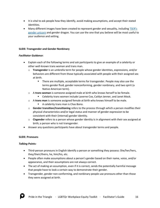- It is vital to ask people how they identify, avoid making assumptions, and accept their stated identities.
- Many different images have been created to represent gender and sexuality, including TSER's [gender unicorn](http://transstudent.org/what-we-do/graphics/gender-unicorn/) and gender dragon. You can use the one that you believe will be most useful to your audience and setting.

#### **SLIDE: Transgender and Gender Nonbinary**

# *Facilitator Guidance*:

- Explain each of the following terms and ask participants to give an example of a celebrity or other well-known trans woman and trans man.
	- o **Transgender** is an umbrella term for people whose gender identities, expressions, and/or behaviors are different from those typically associated with people with their assigned sex at birth.
		- There are multiple, acceptable terms for transgender. People may also use the terms gender fluid, gender nonconforming, gender nonbinary, and two spirit (a Native American term).
	- o A **trans woman** is someone assigned male at birth who knows herself to be female.
		- Celebrity trans women include Laverne Cox, Caitlyn Jenner, and Janet Mock.
	- o A **trans man** is someone assigned female at birth who knows himself to be male.
		- A celebrity trans man is Chas Bono.
	- o **Gender transition/transitioning** refers to the process through which a person modifies their physical characteristics and/or legal status and manner of gender expression to be consistent with their (internal) gender identity.
	- o **Cisgender** refers to a person whose gender identity is in alignment with their sex assigned at birth; a person who is not transgender.
- Answer any questions participants have about transgender terms and people.

# **SLIDE: Pronouns**

- Third-person pronouns in English identify a person or something they possess: She/her/hers, they/their/theirs, he, him/his, etc.
- People often make assumptions about a person's gender based on their name, voice, and/or appearance, and their assumptions are not always correct.
- The act of making an assumption, even if it is correct, sends the potentially harmful message that people have to look a certain way to demonstrate their gender.
- Transgender, gender non-conforming, and nonbinary people use pronouns other than those they were assigned at birth.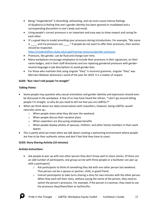- Being "misgendered" is disturbing, exhausting, and can even cause intense feelings of dysphoria (a feeling that one's gender identity has been ignored or invalidated and a corresponding discomfort in one's body and mind)
- Using people's correct pronouns is an important and easy way to show respect and caring for each other.
- It's a good idea to model providing your pronouns during introductions. For example, "My name is \_\_\_\_, and my pronouns are \_\_\_\_." If people do not want to offer their pronouns, their wishes should be respected.

<https://studentaffairs.duke.edu/csgd/training-resources/gender-pronouns>

- Pronouns, like gender, can be fluid and change over time.
- Many workplaces encourage employees to include their pronouns in their signatures, on their name badges, and in their staff directories and are replacing gendered pronouns with genderneutral language in job descriptions to avoid gender bias.
- For those who maintain that using singular "they" is incorrect grammar, singular "they" was Merriam Webster dictionary's word of the year for 2019. It is a matter of respect.

# **SLIDE: "But I don't tell people I'm straight"**

# *Talking Points:*

- Some people may question why sexual orientation and gender identity and expression should even be discussed in the workplace. A few of us may have heard the refrain, "I don't go around telling people I'm straight, so why do you need to tell me that you are LGBTQ+?"
- When we think about our daily conversations with coworkers, however, being LGBTQ+ would naturally come up…
	- o When people share what they did over the weekend
	- o When people discuss their vacation plans
	- o When coworkers are discussing employee benefits
	- $\circ$  When people display photos of spouses, children, and other family members in their work spaces
- This is partly what we mean when we talk about creating a welcoming environment where people are free to be their authentic selves and don't feel that they have to cover.

# **SLIDE: Story Sharing Activity (10 minutes)**

# *Activity Instructions:*

- Ask people to pair up with one other person they don't know well to share stories. (If there are an odd number of participants, one group can be with three people or a facilitator can pair up with a participant).
	- $\circ$  Ask participants to think of something they did with one other person last weekend. That person can be a spouse or partner, child, or good friend.
	- $\circ$  Instruct participants to take turns sharing a story for two minutes with the other person. When they each tell their story, without saying the name of the person, they need to switch the person's pronouns. For example, if the person is a woman, they need to use the pronouns they/them/their or he/him/his.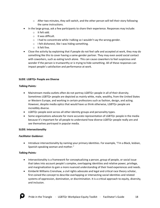- $\circ$  After two minutes, they will switch, and the other person will tell their story following the same instructions.
- In the large group, ask a few participants to share their experience. Responses may include:
	- o It felt odd.
	- o It was difficult.
	- o I had to concentrate while I talking so I wouldn't say the wrong gender.
	- o I felt dishonest, like I was hiding something.
	- o It felt fine.
- Close the activity by explaining that if people do not feel safe and accepted at work, they may do something like this to cover having a same-gender partner. They may even avoid social contact with coworkers, such as eating lunch alone. This can cause coworkers to feel suspicious and wonder if the person is trustworthy or is trying to hide something. All of these responses can impact people's satisfaction and performance at work.

#### **SLIDE**: **LGBTQ+ People are Diverse**

#### *Talking Points:*

- Mainstream media outlets often do not portray LGBTQ+ people in all of their diversity. Sometimes LGBTQ+ people are depicted as mainly white, male, wealthy, from the United States or Western Europe, and working in certain professions such as fashion, design, and acting. However, despite media optics that would have us think otherwise, LGBTQ+ people are incredibly diverse.
- LGBTQ+ people exist across all other identity groups and personality types.
- Some organizations advocate for more accurate representation of LGBTQ+ people in the media because it's important for all people to understand how diverse LGBTQ+ people really are and see themselves portrayed in popular media.

#### **SLIDE: Intersectionality**

#### *Facilitator Guidance*:

• Introduce intersectionality by naming your primary identities. For example, "I'm a Black, lesbian, Spanish-speaking woman and mother."

- Intersectionality is a framework for conceptualizing a person, group of people, or social issue that takes into account people's complex, overlapping identities and relative power, privilege, and marginalization to gain a more nuanced understanding of their lived experiences and needs.
- Kimberlé Williams Crenshaw, a civil rights advocate and legal and critical race theory scholar, first coined the concept to describe overlapping or intersecting social identities and related systems of [oppression,](https://en.wikipedia.org/wiki/Oppression) [domination,](https://en.wikipedia.org/wiki/Dominance_hierarchy) or [discrimination.](https://en.wikipedia.org/wiki/Discrimination) It is a critical approach to equity, diversity, and inclusion.

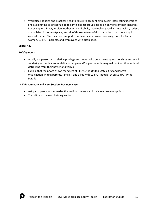• Workplace policies and practices need to take into account employees' intersecting identities and avoid trying to categorize people into distinct groups based on only one of their identities. For example, a Black, lesbian mother with a disability may feel on guard against racism, sexism, and ableism in her workplace, and all of those systems of discrimination could be acting in concert for her. She may need support from several employee resource groups for Black, women, LGBTQ+, parents, and employees with disabilities.

# **SLIDE: Ally**

#### *Talking Points:*

- An ally is a person with relative privilege and power who builds trusting relationships and acts in solidarity and with accountability to people and/or groups with marginalized identities without detracting from their power and voices.
- Explain that the photo shows members of PFLAG, the United States' first and largest organization uniting parents, families, and allies with LGBTQ+ people, at an LGBTQ+ Pride Parade.

#### **SLIDE: Summary and Next Section: Business Case**

- Ask participants to summarize the section contents and their key takeaway points.
- Transition to the next training section.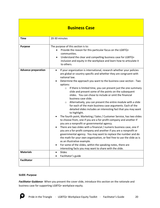# **Business Case**

| <b>Time</b>                                    | 20-30 minutes                                                                                                                                                                                                                                                                                                                                                                                                                                                                                                                                                                                                                                                                                                                                                                                                                                                                                                                                                                                                                                                                                                                                                                                                                                                                                                                                                                                                          |
|------------------------------------------------|------------------------------------------------------------------------------------------------------------------------------------------------------------------------------------------------------------------------------------------------------------------------------------------------------------------------------------------------------------------------------------------------------------------------------------------------------------------------------------------------------------------------------------------------------------------------------------------------------------------------------------------------------------------------------------------------------------------------------------------------------------------------------------------------------------------------------------------------------------------------------------------------------------------------------------------------------------------------------------------------------------------------------------------------------------------------------------------------------------------------------------------------------------------------------------------------------------------------------------------------------------------------------------------------------------------------------------------------------------------------------------------------------------------------|
| <b>Purpose</b>                                 | The purpose of this section is to:<br>Provide the reason for this particular focus on the LGBTQ+<br>communities.<br>Understand the clear and compelling business case for LGBTQ+<br>$\bullet$<br>inclusion and equity in the workplace and learn how to articulate it<br>to others.                                                                                                                                                                                                                                                                                                                                                                                                                                                                                                                                                                                                                                                                                                                                                                                                                                                                                                                                                                                                                                                                                                                                    |
| <b>Advance preparation</b><br><b>Materials</b> | If your organization is international, research whether your policies<br>$\bullet$<br>are global or country specific and whether they are congruent with<br>national law.<br>Determine the approach you want to the business case section - Two<br>$\bullet$<br>options:<br>If there is limited time, you can present just the one summary<br>$\circ$<br>slide and present some of the points on the subsequent<br>slides. You can chose to include or omit the financial<br>business case slide.<br>Alternatively, you can present the entire module with a slide<br>$\circ$<br>for each of the main business case arguments. Each of the<br>detailed slides includes an interesting fact that you may want<br>to highlight.<br>The fourth point, Marketing / Sales / Customer Service, has two slides<br>to choose from, one if you are a for-profit company and another if<br>you are a nonprofit or governmental agency.<br>There are two slides with a financial / numeric business case, one if<br>$\bullet$<br>you are a for-profit company and another if you are a nonprofit or<br>governmental agency. You may want to replace the number and do<br>the math for your own organization, or feel free to use the slide as is<br>as an illustrative example.<br>For some of the slides, within the speaking notes, there are<br>interesting facts you may want to share with the slide.<br>Slides<br>$\bullet$ |
| <b>Facilitator</b>                             | Facilitator's guide                                                                                                                                                                                                                                                                                                                                                                                                                                                                                                                                                                                                                                                                                                                                                                                                                                                                                                                                                                                                                                                                                                                                                                                                                                                                                                                                                                                                    |
|                                                |                                                                                                                                                                                                                                                                                                                                                                                                                                                                                                                                                                                                                                                                                                                                                                                                                                                                                                                                                                                                                                                                                                                                                                                                                                                                                                                                                                                                                        |

#### **SLIDE: Purpose**

*Facilitator Guidance*: When you present the cover slide, introduce this section on the rationale and business case for supporting LGBTQ+ workplace equity.

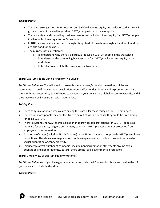# *Talking Points:*

- There is a strong rationale for focusing on LGBTQ+ diversity, equity and inclusion today. We will go over some of the challenges that LGBTQ+ people face in the workplace
- There is a clear and compelling business case for full inclusion of and equity for LGBTQ+ people in all aspects of any organization's business.
- LGBTQ+ inclusion and equity are the right things to do from a human rights standpoint, and they are also good for business.
- The purpose of this section is:
	- $\circ$  To understand why there is a particular focus on LGBTQ+ people in the workplace.
	- $\circ$  To understand the compelling business case for LGBTQ+ inclusion and equity in the workplace.
	- o To be able to articulate the business case to others.

# **SLIDE: LGBTQ+ People Can be Fired for "No Cause"**

*Facilitator Guidance*: You will need to research your company's nondiscrimination policies and statements to see if they include sexual orientation and/or gender identity and expression and share them with the group. Also, you will need to research if your policies are global or country specific, and if they may even be incongruent with national law.

#### *Talking Points:*

- There truly is a rationale why we are having this particular focus today on LGBTQ+ employees.
- The reason many people may not feel free to be out at work is because they could be fired simply for being LGBTQ+.
- There is currently no U.S. federal legislation that provides job protections for LGBTQ+ people as there are for sex, race, religion, etc. In many countries, LGBTQ+ people are not protected from employment discrimination.
- A majority of states (including North Carolina) in the Unites States do not provide LGBTQ+ employee protections. The states in orange and red on this map currently provide no protections based on sexual orientation or gender identity.
- Fortunately, a vast number of companies include nondiscrimination statements around sexual orientation and gender identity, but still there are no legal governmental protections.

#### **SLIDE: Global View of LGBTQ+ Equality (optional)**

*Facilitator Guidance*: If you have global operations outside the US or conduct business outside the US, you may want to include this slide.

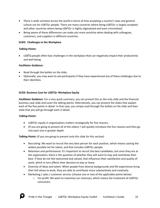- There is wide variation across the world in terms of how accepting a country's laws and general culture are for LGBTQ+ people. There are many countries where being LGBTQ+ is largely accepted and other countries where being LGBTQ+ is highly stigmatized and even criminalized.
- Being aware of these differences can make you more sensitive when dealing with colleagues, customers, and suppliers in different countries.

# **SLIDE: Challenges in the Workplace**

# *Talking Points:*

• LGBTQ people often face challenges in the workplace that can negatively impact their productivity and well-being.

# *Facilitator Guidance*:

- Read through the bullets on the slide.
- Optionally, you may want to ask participants if they have experienced any of these challenges due to their identities.

# **SLIDE: Business Case for LGBTQ+ Workplace Equity**

*Facilitator Guidance*: For a very quick summary, you can present this as the only slide and the financial business case slide and cover the talking points. Alternatively, you can present the slides that explain each of the five points in detail. In that case, you simply read through the bullets on the slide and then state that you will go through each in detail.

#### *Talking Points:*

- LGBTQ+ equity in organizations matters strategically for five reasons.
- (If you are going to present all of the slides): I will quickly introduce the five reasons and then go into each one in greater depth.

#### **Talking Points:** (if you are going to present only this slide for this section)

- Recruiting: We want to recruit the very best person for each position, which means casting the widest possible net for talent, and that includes LGBTQ+ people.
- Retention and performance: It's important to recruit the best candidates, but once they are at the organization, there is the question of whether they will want to stay and contribute their best. If they do not feel welcomed and valued, that influences their satisfaction and quality of work, which in turn affects their decision to stay or leave.
- Diversity of ideas and talent: When people from diverse backgrounds and life experiences bring their full selves to work, they are able to contribute more substantively and creatively.
- Marketing / sales / customer service: (choose one or two of the applicable points below)
	- $\circ$  For profit: We want to maximize our revenues, which means fair treatment of LGBTQ+ consumers

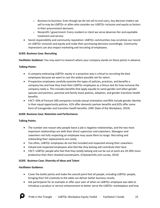- $\circ$  Business to business: Even though we do not sell to end users, key decision makers we sell to may be LGBTQ+ or allies who consider our LGBTQ+ inclusion and equity as factors in their procurement decisions
- $\circ$  Nonprofit / government: Every resident or client we serve deserves fair and equitable treatment and service
- Social responsibility and community reputation: LGBTQ+ communities may scrutinize our record on LGBTQ+ inclusion and equity and make their purchasing decisions accordingly. Community impressions can also impact marketing and recruiting of employees.

# **SLIDE: Business Case: Recruiting**

*Facilitator Guidance:* You may want to research where your company stands on these points in advance.

# *Talking Points:*

- A company embracing LGBTQ+ equity in a proactive way is critical to recruiting the best employees because we want to cast the widest possible net for talent.
- Prospective employees carefully examine the types of policies, practices, and benefits a company has and how they treat their LGBTQ+ employees as a litmus test for how inclusive the company really is. This includes benefits that apply equally to same-gender and other-gender spouses and partners, parental and family leave policies, adoption, and gender transition health benefits.
- FACT: 93% of Fortune 500 companies include sexual orientation and 85% include gender identity in their equal opportunity policies. 61% offer domestic partner benefits and 62% offer some form of transgender and transition health benefits. (HRC State of the Workplace, 2019).

#### **SLIDE: Business Case: Retention and Performance**

#### **Talking Points:**

- The number one reason why people leave a job is negative relationships, and the two most important relationships are with their direct supervisor and coworkers. Managers and coworkers not fully respecting an employee may cause them to resign. Recruiting and onboarding their replacements are costly.
- Too often, LGBTQ+ employees do not feel included and respected among their coworkers.
- Valued and respected employees who feel like they belong will contribute their best.
- FACT: LGBTQ+ people who feel that they totally belong and can be out at work are 20-30% more productive than their closeted counterparts. (Citytowninfo.com survey, 2014)

# **SLIDE: Business Case: Diversity of Ideas and Talent**

#### *Facilitator Guidance*:

- Cover the bullet points and make the overall point that all people, including LGBTQ+ people, bringing their full creativity to the table can deliver better business results.
- Ask participants for an example or offer your own of when an LGBTQ+ employee was able to introduce a product or service enhancement to better serve the LGBTQ+ marketplace and how

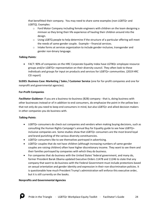that benefitted their company. You may need to share some examples (non-LGBTQ+ and LGBTQ). Examples:

- $\circ$  Ford Motor Company including female engineers with children on the team designing a minivan so they bring their life experience of hauling their children around into the design.
- o Using LGBTQ people to help determine if the structure of a particular offering will meet the needs of same-gender couple. Example – financial services.
- $\circ$  Intake forms at services organization to include gender-inclusive, transgender and gender non-binary language.

# *Talking Points:*

• FACT: 90% of companies on the HRC Corporate Equality Index have LGTBQ+ employee resource groups and/or LGBTQ+ representation on their diversity council. They often look to these individuals and groups for input on products and services for LGBTQ+ communities. (2019 HRC CEI report)

**SLIDES: Business Case: Marketing / Sales / Customer Service** (one for for-profit companies and one for nonprofit and governmental agencies).

#### **For-Profit Companies**

*Facilitator Guidance*: If you are a business-to-business (B2B) company - that is, doing business with other businesses instead or of in addition to end consumers, do emphasize the point in the yellow box that not only do you need to keep end consumers in mind, but also LGBTQ+ and allied decision makers in other companies you do business with.

# *Talking Points*:

- LGBTQ+ consumers do check out companies and vendors when making buying decisions, such as consulting the Human Rights Campaign's annual Buy for Equality guide to see how LGBTQ+ inclusive companies are. Some studies show that LGBTQ+ consumers are the most brand loyal and brand punishing of the various diversity constituencies.
- LGBTQ+ consumers like to see themselves portrayed in advertising.
- LGBTQ+ couples that do not have children (although increasing numbers of same-gender couples are raising children) often have higher discretionary income. They want to see them and their families portrayed by companies with which they do business.
- For companies that do business with the United States' federal government, and many do, former President Barak Obama updated Executive Orders 11478 and 11246 to state that any company that want to do business with the Federal Government must include protections based on sexual orientation and gender identity and expression in their non-discrimination policies. It is questionable how much President Trump's administration will enforce this executive order, but it is still currently on the books.

#### **Nonprofits and Governmental Agencies**

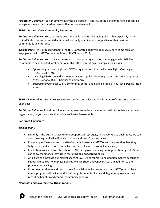*Facilitator Guidance*: You can simply cover the bullet points. The key point is the importance of serving everyone you are mandated to serve with equity and respect.

# **SLIDE: Business Case: Community Reputation**

*Facilitator Guidance*: You can simply cover the bullet points. The main point is that especially in the United States, consumers and decision makers really examine how supportive of their various communities an enterprise is.

*Talking Point:* 84% of respondents to the HRC Corporate Equality Index survey have some form of engagement with LGBTQ+ communities (HRC CEI report 2019).

*Facilitator Guidance*: You may want to research how your organization has engaged with LGBTQ+ communities or supported local or national LGBTQ+ organizations. Examples can include:

- Sponsoring national or global LGBTQ+ organizations like the Human Rights Campaign, PFLAG, GLSEN, etc.
- Including LGBTQ owned businesses in your supplier diversity program and being a sponsor of the National LGBT Chamber of Commerce
- Supporting your local LGBTQ community center and having a table at your local LGBTQ Pride event.

**SLIDES: Financial Business Case:** (one for for-profit companies and one for nonprofit and governmental agencies).

*Facilitator Guidance*: For either slide, you may want to replace the numbers with those from your own organization, or you can state that this is an illustrative example

#### **For-Profit Companies**

#### *Talking Points:*

- Not only is the business case to fully support LGBTQ+ equity in the workplace qualitative, we can also show a quantitative financial "dollars and cents" business case.
- For example, if we assume that 6% of our employees are LGBTQ+ and because they feel they fully belong and are more productive, we can calculate a productivity savings.
- In addition, we can lower the rate of LGBTQ+ employees leaving our organization by just 5%, we can show the financial savings in recruiting and onboarding costs.
- And if we can increase our market share of LGBTQ+ consumers and decision makers because of supportive LGBTQ+ workplace policies, we can show a revenue increase in addition to the previous cost savings.
- Do remember that in addition to these financial benefits, having a strong LGBTQ+ workplace equity program will deliver additional tangible benefits like overall higher employee morale, recruiting benefits and general community good will.

#### **Nonprofit and Governmental Organizations**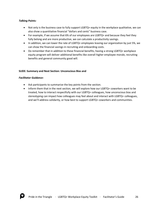#### *Talking Points:*

- Not only is the business case to fully support LGBTQ+ equity in the workplace qualitative, we can also show a quantitative financial "dollars and cents" business case.
- For example, if we assume that 6% of our employees are LGBTQ+ and because they feel they fully belong and are more productive, we can calculate a productivity savings.
- In addition, we can lower the rate of LGBTQ+ employees leaving our organization by just 5%, we can show the financial savings in recruiting and onboarding costs.
- Do remember that in addition to these financial benefits, having a strong LGBTQ+ workplace equity program will deliver additional benefits like overall higher employee morale, recruiting benefits and general community good will.

#### **SLIDE: Summary and Next Section: Unconscious Bias and**

# *Facilitator Guidance:*

- Ask participants to summarize the key points from the section.
- Inform them that in the next section, we will explore how our LGBTQ+ coworkers want to be treated, how to interact respectfully with our LGBTQ+ colleagues, how unconscious bias and stereotyping can impact how colleagues may feel about and interact with LGBTQ+ colleagues, and we'll address solidarity, or how best to support LGBTQ+ coworkers and communities.

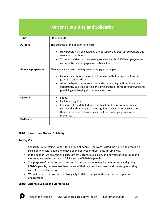# **Unconscious Bias and Solidarity**

| <b>Time</b>                            | 30-50 minutes                                                                                                                                                                                                                                                                                                                                                       |
|----------------------------------------|---------------------------------------------------------------------------------------------------------------------------------------------------------------------------------------------------------------------------------------------------------------------------------------------------------------------------------------------------------------------|
| <b>Purpose</b>                         | The purpose of this section is to learn:<br>How people may be excluding or not supporting LGBTQ+ coworkers due<br>to unconscious bias.<br>To build and demonstrate strong solidarity with LGBTQ+ employees and<br>communities and engage as effective allies.                                                                                                       |
| <b>Advance preparation</b>             | Plan in advance how you may want to engage participants:<br>On one slide there is an optional discussion that people can have in<br>groups of two or three.<br>After the bystander intervention slide, depending on time, there is an<br>opportunity to divide participants into groups of three for observing and<br>practicing challenging discussions scenarios. |
| <b>Materials</b><br><b>Facilitator</b> | Slides<br>Facilitator's guide<br>For some of the detailed slides with action, the information is also<br>contained within the participant's guide. You can refer participants to<br>their guides, which also includes the four challenging discussion<br>scenarios.                                                                                                 |
|                                        |                                                                                                                                                                                                                                                                                                                                                                     |

#### **SLIDE: Unconscious Bias and Solidarity**

#### *Talking Points:*

- Solidarity is expressing support for a group of people. The word is used most often to describe a sense of unity with people who have been deprived of their rights in some way.
- In this section, we are going to discuss what unconscious bias is, and how unconscious bias and stereotyping can be barriers to full inclusion of LGBTQ+ people.
- The purpose of this is not to shame and blame people who may be unintentionally slighting LGBTQ+ people, but to make them aware of their unconscious biases and stereotypes so they can take corrective action.
- We will then cover how to be a strong ally to LGBQ+ people and offer tips for respectful engagement.

#### **SLIDE: Unconscious Bias and Stereotyping**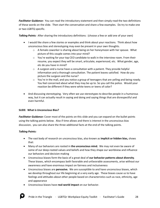*Facilitator Guidance:* You can read the introductory statement and then simply read the two definitions of these words on the slide. Then start the conversation and share a few examples. Do try to make one or two LGBTQ specific.

*Talking Points:* After sharing the introductory definitions: (choose a few or add one of your own)

- I would like share a few stories or examples and think about your reactions. Think about how unconscious bias and stereotyping may even be present in your own thoughts.
	- $\circ$  A female coworker is sharing about being on her honeymoon with her spouse. What picture of this couple comes into your mind?
	- $\circ$  You're waiting for your top CEO candidate to walk in the interview room. From their resume, you expect they will be smart, articulate, experienced, etc. What gender, age, etc do you have in mind?
	- o A surgeon and a nurse have a consultation with a patient. They provide helpful information and a thorough consultation. The patient leaves satisfied. How do you picture the surgeon and the nurse?
	- $\circ$  You're in the mall, and you notice a group of teenagers that are yelling and being rowdy. You feel concerned about what they may be up to. So you call the police. Would your reaction be different if they were white teens or teens of color?
- And discussing stereotyping. Very often we use stereotypes to describe people in a humorous way, but it can actually result in saying and doing and saying things that are disrespectful and even harmful.

#### **SLIDE: What is Unconscious Bias?**

*Facilitator Guidance:* Cover most of the points on this slide and you can expand on the bullet points using the talking points below. Also if time allows and there is interest in the unconscious bias discussion, you can also share the three additional facts at the end of the talking points.

- The vast body of research on unconscious bias, also known as **implicit or hidden bias,** shows that:
- Many of our behaviors are rooted in **the unconscious mind.** We may not even be aware of some of our deep-rooted values and beliefs and how they shape our worldview and influence our behaviors and decision-making
- Unconscious biases form the basis of a great deal of **our behavior patterns about diversity**. These biases, which encompass both favorable and unfavorable assessments, arise without our awareness and have enormous impact on fairness and inclusiveness
- Unconscious biases are **pervasive.** We are susceptible to and have unconscious biases, which we develop throughout our life beginning at a very early age. These biases cause us to have feelings and attitudes about other people based on characteristics such as race, ethnicity, age and appearance
- Unconscious biases have **real-world impact** on our behavior.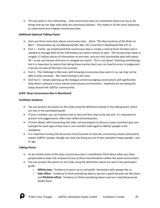• This last point is very interesting ... that unconscious bias can sometimes lead us to say or do things that do not align with what we consciously believe. This makes it all the more important to understand and mitigate unconscious bias.

# *Additional Optional Talking Points:*

- Here are three more facts about unconscious bias*. (from "The Neuroscience of the Brain on Bias" – Presentation by Lisa Blackwood MS, MA, LPC-S and Sherri Woodworth MA LPC-S)*
- Fact 1 Earlier, we emphasized that unconscious bias is simply a natural brain function and is needed to manage with all the information our brains receive at once. The human brain takes in roughly 11 million pieces of information at one time, and can only functionally deal with about 40 – so we use mental shortcuts to navigate our world. This is not about "shaming and blaming, but it is important to realize that taking these mental short cuts can lead to errors in judgement if we do not take all the facts into account.
- Fact 2 The challenge is that even with knowing unconscious bias exists in us, we may not be able to help ourselves. We need training in this area.
- And Fact 3 Simply opening up the dialogue and encouraging conversations will significantly help others cultivate a more vibrant and inclusive environment. Hopefully we are doing this today around the LGBTQ+ communities.

#### **SLIDE: Ways Unconscious Bias Is Manifested**

# *Facilitator Guidance*:

- You can present the points on this slide using the definitions below in the talking point, which are also in the participant guide.
- If time is limited, you can mention one or two and then skip to the last one. It's important to present microaggressions, often also called microinequities.
- If times allows, after presenting this slide, ask participants to discuss in pairs and then give one example for each type of bias how it can manifest itself against LGBTQ+ people in the workplace.
- It is important to keep the discussion more focused on how the unconscious biases particularly impact LGBTQ+ people, though you may also bring up one of two examples impact gender, race or age.

- As we review some of the ways unconscious bias is manifested, think about when you have perpetrated or been the recipient of any of these manifestations within the work environment.
- You can present the points on this slide using the definitions which are also in the participant guide:
	- o **Affinity bias:** Tendency to warm up to and prefer interaction with people like us.
	- o **Halo effect:** Tendency to think everything about a person is good because we like them, and **Pitchfork effect:** Tendency to think everything about a person is bad because we dislike them.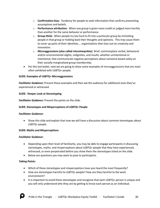- o **Confirmation bias:** Tendency for people to seek information that confirms preexisting assumptions and beliefs.
- o **Performance attribution:** When one group is given more credit or judged more harshly than another for the same behavior or performance.
- o **Group think:** When people try too hard to fit into a particular group by mimicking people in that group or holding back their thoughts and opinions. This may cause them to cover up parts of their identities … organizations then lose out on creativity and innovation.
- o **Microaggressions (also called microinequities)** Brief, commonplace verbal, behavioral and/or environmental slights, indignities, and insults, whether unintentional or intentional, that communicate negative perceptions about someone based solely on their socially-marginalized group membership.
- Per this last bullet, next we are going to show some examples of microaggressions that are most often exhibited with LGBTQ+ people.

# **SLIDE: Examples of LGBTQ+ Microaggressions**

*Facilitator Guidance:* Present these examples and then ask the audience for additional ones they've experienced or witnessed.

#### **SLIDE: Deeper Look at Stereotyping**

*Facilitator Guidance:* Present the points on the slide.

# **SLIDE: Stereotypes and Misperceptions of LGBTQ+ People**

#### *Facilitator Guidance:*

• Show this slide and explain that now we will have a discussion about common stereotypes about LGBTQ+ people.

#### **SLIDE: Myths and Misperceptions**

#### *Facilitator Guidance*:

- Depending upon their level of familiarity, you may be able to engage participants in discussing stereotypes, myths, and misperceptions about LGBTQ+ people that they have experienced, witnessed, or even perpetrated before you show them the stereotypes listed on the slide.
- Below are questions you may want to pose to participants.

- Which of these stereotypes and misperceptions have you heard the most frequently?
- How are stereotypes harmful to LGBTQ+ people? How are they harmful to the work environment?
- It is important to avoid these stereotypes and recognize that each LGBTQ+ person is unique and you will only understand who they are by getting to know each person as an individual.

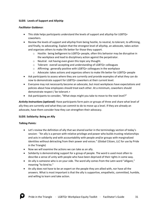# **SLIDE: Levels of Support and Allyship**

#### *Facilitator Guidance*:

- This slide helps participants understand the levels of support and allyship for LGBTQ+ coworkers.
- Review the levels of support and allyship from being hostile, to neutral, to tolerant, to affirming, and finally, to advocating. Explain that the strongest level of allyship, an advocate, takes action and organizes others to make life better for those they support.
	- $\circ$  Hostile: being belligerent to LGBTQ+ people, often this behavior may be disruptive in the workplace and lead to disciplinary action against the perpetrator.
	- o Neutral: not having even given this topic any thought.
	- o Tolerant: overall accepting and understanding of LGBTQ+ colleagues
	- o Affirming: generally positive with LGBTQ+ colleagues in the workplace
	- $\circ$  Advocate: takes actions and organizes others to make life better for LGBTQ+ people
- Ask participants to assess where they are currently and provide examples of what they can do now to demonstrate support for LGBTQ+ coworkers at their current level.
- Everyone may not necessarily become an advocate, but most workplaces have expectations and policies about how employees should treat each other. At a minimum, coworkers should demonstrate respect / be tolerant.+
- Ask participants to consider, "What steps might you take to move to the next level?"

*Activity Instructions (optional)*: Have participants form pairs or groups of three and share what level of ally they are currently and what they can commit to do to move up a level. If they are already an advocate, have them consider how they can strengthen their advocacy.

#### **SLIDE: Solidarity: Being an Ally**

- Let's review the definition of ally that we shared earlier in the terminology section of today's session: "An ally is a person with relative privilege and power who builds trusting relationships and acts in solidarity and with accountability with people and/or groups with marginalized identities without detracting from their power and voices." (Global Citizen, LLC for use by Pride in the Triangle)
- Now we will examine the actions we can take as an ally.
- Solidarity is demonstrating support for a group of people. The word is used most often to describe a sense of unity with people who have been deprived of their rights in some way.
- An ally is someone who is on your side. The word ally comes from the Latin word "alligare," meaning "to bind to."
- An ally does not have to be an expert on the people they are allied with, nor have all the answers. What is most important is that the ally is supportive, empathetic, committed, humble, and willing to learn and take action.

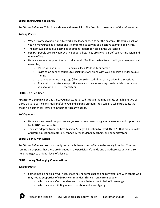# **SLIDE: Taking Action as an Ally**

*Facilitator Guidance*: This slide is shown with two clicks. The first click shows most of the information.

# *Talking Points:*

- When it comes to being an ally, workplace leaders need to set the example. Hopefully each of you views yourself as a leader and is committed to serving as a positive example of allyship.
- The next two boxes give examples of actions leaders can take in the workplace.
- LGBTQ+ people are truly appreciative of our allies. They are a vital part of LGBTQ+ inclusion and equity efforts.
- Here are some examples of what an ally can do (Facilitator feel free to add your own personal examples)
	- o March with you LGBTQ+ friends in a local Pride rally or parade
	- $\circ$  Invite same gender couples to social functions along with your opposite-gender couple friends
	- $\circ$  Use gender neutral language (like spouse instead of husband / wide) in discussions
	- $\circ$  Share with coworkers in a positive way about an interesting movie or television show you saw with LGBTQ+ characters.

#### **SLIDE: Do a Self-Check**

*Facilitator Guidance*: For this slide, you may want to read through the nine points, or highlight two or three that are particularly meaningful to you and expand on them. You can also tell participants that these nine self-check items are in their participant's guide.

#### *Talking Points:*

- Here are nine questions you can ask yourself to see how strong your awareness and support are for LGBTQ+ communities.
- They are adapted from the Gay, Lesbian, Straight Education Network (GLSEN) that provides a lot of useful educational materials, especially for students, teachers, and administrators.

#### **SLIDE: Be an Ally in Action**

*Facilitator Guidance*: You can simply go through these points of how to be an ally in action. You can remind participants that these are included in the participant's guide and that these actions can also help them get to a higher level of allyship.

# **SLIDE: Having Challenging Conversations**

- Sometimes being an ally will necessitate having some challenging conversations with others who may not be supportive of LGBTQ+ communities. This can range from people:
	- $\circ$  Who may be naïve offenders and make missteps due to lack of knowledge
	- o Who may be exhibiting unconscious bias and stereotyping

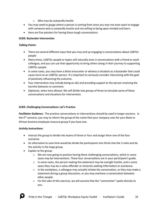- o Who may be outwardly hostile
- You may need to gauge where a person is coming from since you may not even want to engage with someone who is outwardly hostile and not willing to being open minded and learn.
- Here are five pointers for having those tough conversations.

#### **SLIDE: Bystander Intervention**

#### *Talking Points:*

- There are several different ways that you may end up engaging in conversations about LGBTQ+ people
- Many times, LGBTQ+ people or topics will naturally arise in conversations with a friend or work colleague, and you can use that opportunity to bring others along in their journey to supporting LGBTQ+ people.
- In some cases, you may have a direct encounter or witness a situation as a bystander that could cause harm to an LGBTQ+ person. It's important to seriously consider intervening with the goal of positively influencing the outcome.
- Your intervention may include being an ally and providing support to the person receiving the harmful behavior or comment.
- (Optional, when time allows): We will divide into groups of three to simulate some of these conversations and situations for intervention.

# **SLIDE: Challenging Conversations: Let's Practice**

*Facilitator Guidance*: The practice conversations or interventions should be used in longer sessions. In the 4th scenario, you may to inform the group of the name that your company uses for your Black or African America employee resource group if you have one.

# *Activity Instructions:*

- Instruct the group to divide into teams of three or four and assign them one of the four scenarios.
- An alternative to save time would be divide the participants into thirds into the 3 roles and do the activity in the large group.
- Explain to the group:
	- $\circ$  We are now going to practice having these challenging conversations, which in some cases may be interventions. These four conversations are in your participant's guide.
	- $\circ$  In some cases, the person making the statement may be outright hostile, and is some cases they may be a naïve offender or sincerely seeking information or assistance.
	- $\circ$  In the workplace, a colleague may actually initiate the conversation, or they may make a statement during a group discussion, or you may overhear a conversation between other people.
	- $\circ$  For the sake of this exercise, we will assume that the "commenter" spoke directly to you.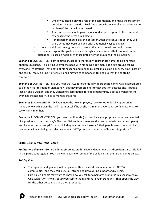- One of you should play the role of the commenter, and make the statement described in your scenario. Feel free to substitute a local appropriate name in place of the name in the scenario.
- A second person should play the responder, and respond to the comment by engaging the person in dialogue.
- A third person should play the observer. After the conversation, they will share what they observed and offer additional ways to engage.
- $\circ$  If there is additional time, groups can move to the next scenario and switch roles.
- $\circ$  On the next page of the guide are some thoughts on comments that can made in the discussion. Please do not look at those until after the group had the discussion.

**Scenario 1:** COMMENTER: "I am so tired of José (or other locally-appropriate name) talking nonstop about his husband. He's hitting us over the head with his being a gay man. I don't go around telling everyone I'm straight. That photo of his husband and him on his desk makes me sick every time I pass by and see it. I really do find it offensive, and I may go to someone in HR and ask that the photo be removed."

**Scenario 2:** COMMENTER: "Did you hear that Aya (or other locally-appropriate name) was just promoted to be the Vice President of Marketing? I bet they promoted her to that position because she is both a lesbian and a woman, and they wanted to score double for equal opportunity quotas. I wonder if she even has the necessary skills to manage that area."

**Scenarios 3:** COMMENTER: "Did you meet the new employee, Terry (or other locally-appropriate name), who works down the hall? I cannot tell if he or she is a man or a woman. I don't know what to say or call him or her."

**Scenarios 4:** COMMENTER: "Did you hear that Rhonda (or other locally-appropriate name) was elected vice president of our company's Black (or African American – use the term used within your company) employee resource group? Do you think they realize she's bisexual? Black people are so homophobic. I cannot imagine a black group electing an out LGBTQ+ person to any kind of leadership position."

# **SLIDE: Be an Ally to Trans People**

*Facilitator Guidance*: Go through the six points on this slide and point out that these items are included in the participant's guide. You may want expand on some of the bullets using the talking points below.

- Transgender and gender-fluid people are often the most misunderstood in LGBTQ+ communities, and they could use our strong and unwavering support and allyship.
- First bullet: People may want to know how you ask for a person's pronouns in a sensitive way. One suggestion is to introduce yourself to them and share your pronouns. That opens the way for the other person to share their pronouns.

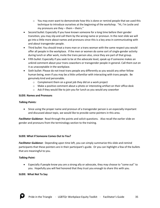- $\circ$  You may even want to demonstrate how this is done or remind people that we used this technique to introduce ourselves at the beginning of the workshop. "Hi, I'm Leslie and my pronouns are they – them – theirs."
- Second bullet: Especially if you have known someone for a long time before their gender transition, you may slip and call them by the wrong name or pronoun. In the next slide we will go into a little more about names and pronouns since this is a key area in communicating with and about transgender people.
- Third bullet: You should treat a trans man or a trans woman with the same respect you would offer all people in the workplace. If the men or women do some sort of single-gender activity during lunch or after work, invite the trans person also, since they are part of that group.
- Fifth bullet: Especially if you seek to be at the advocate level, speak up if someone makes an unkind comment about your trans coworkers or transgender people in general. Call them out on it as unacceptable in the workplace.
- Sixth bullet: Please do not treat trans people any differently as you would any other fellow human being, even if you may be a little unfamiliar with interacting with trans people. Be genuinely kind and personable.
	- o Complement them on a great job they did on a work project
	- $\circ$  Make a positive comment about a photo or interesting artifact on their office desk
	- o Ask if they would like to join you for lunch as you would any coworker

# **SLIDE: Names and Pronouns**

# *Talking Points:*

• Since using the proper name and pronoun of a transgender person is an especially important and discussed about topic, we would like to provide some pointers in this area.

*Facilitator Guidance*: Read through the points and solicit questions. Also recall the earlier slide on gender and pronouns from the terminology section to the training.

#### **SLIDE: What if Someone Comes Out to You?**

*Facilitator Guidance*: Depending upon time left, you can simply summarize this slide and remind participants that these pointers are in their participant's guide. Or you can highlight a few of the bullets that are meaningful to you.

# *Talking Point:*

• Especially if people know you are a strong ally or advocate, they may choose to "come out" to you. Hopefully you will feel honored that they trust you enough to share this with you.

#### **SLIDE: What Not To Say**

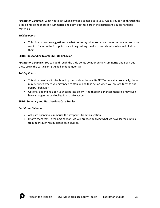*Facilitator Guidance*: What not to say when someone comes out to you. Again, you can go through the slide points point or quickly summarize and point out these are in the participant's guide handout materials.

# *Talking Points:*

• This slide has some suggestions on what not to say when someone comes out to you. You may want to focus on the first point of avoiding making the discussion about you instead of about them.

# **SLIDE: Responding to anti-LGBTQ+ Behavior**

*Facilitator Guidance*: You can go through the slide points point or quickly summarize and point out these are in the participant's guide handout materials.

# *Talking Points:*

- This slide provides tips for how to proactively address anti-LGBTQ+ behavior. As an ally, there may be times where you may need to step up and take action when you are a witness to anti-LGBTQ+ behavior
- Optional depending upon your corporate policy: And those in a management role may even have an organizational obligation to take action.

#### **SLIDE: Summary and Next Section: Case Studies**

#### *Facilitator Guidance:*

- Ask participants to summarize the key points from this section.
- Inform them that, in the next section, we will practice applying what we have learned in this training through reality-based case studies.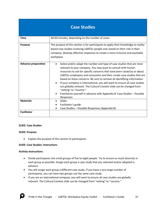| <b>Case Studies</b>        |                                                                                                                                                                                                                                                                                                                                                                                                                                                                                                                                                                                                                                                 |  |
|----------------------------|-------------------------------------------------------------------------------------------------------------------------------------------------------------------------------------------------------------------------------------------------------------------------------------------------------------------------------------------------------------------------------------------------------------------------------------------------------------------------------------------------------------------------------------------------------------------------------------------------------------------------------------------------|--|
| <b>Time</b>                | 40-60 minutes, depending on the number of cases                                                                                                                                                                                                                                                                                                                                                                                                                                                                                                                                                                                                 |  |
| <b>Purpose</b>             | The purpose of this section is for participants to apply their knowledge to reality-<br>based case studies involving LGBTQ+ people and, based on their role in their<br>company, develop effective responses to create a more inclusive and equitable<br>workplace.                                                                                                                                                                                                                                                                                                                                                                             |  |
| <b>Advance preparation</b> | Select and/or adapt the number and type of case studies that are most<br>relevant to your company. You may want to consult with human<br>resources to ask for specific concerns that have been raised by or about<br>LGBTQ+ employees and consumers and then create case studies that are<br>based on these concerns. Be sure to remove all identifying information.<br>If your company is international, you will want to ensure all case studies<br>are globally relevant. The Cultural Context slide can be changed from<br>"setting" to "country."<br>Familiarize yourself in advance with Appendix B: Case Studies - Possible<br>Responses |  |
| <b>Materials</b>           | Slides<br>Facilitator's guide<br>Case Studies - Possible Responses (Appendix B)                                                                                                                                                                                                                                                                                                                                                                                                                                                                                                                                                                 |  |
| <b>Facilitator</b>         |                                                                                                                                                                                                                                                                                                                                                                                                                                                                                                                                                                                                                                                 |  |

#### **SLIDE: Case Studies**

#### **SLIDE: Purpose**

• Explain the purpose of this section to participants.

#### **SLIDE: Case Studies: Instructions**

#### *Activity Instructions***:**

- Divide participants into small groups of five to eight people. Try to ensure as much diversity in each group as possible. Assign each group a case study that you selected and/or adapted in advance.
- You will assign each group a different case study. If you have a very large number of participants, you can have two groups use the same case study.
- If you are an international company, you will want to ensure all case studies are globally relevant. The Cultural Context slide can be changed from "setting" to "country."

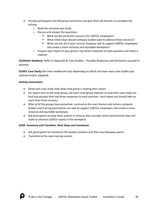- Provide participants the following instructions and give them 20 minutes to complete the activity:
	- o Read the selected case study
	- o Discuss and answer the questions:
		- What are the particular concerns for LGBTQ+ employees?
		- What initial steps should company leaders take to address these concerns?
		- What can you do in your current company role to support LGBTQ+ employees and create a more inclusive and equitable workplace?
	- o Prepare your report of your group's top three responses to each question and select a reporter

*Facilitator Guidance*: Refer to Appendix B: Case Studies – Possible Responses and familiarize yourself in advance.

**SLIDES: Case Study** (the time needed will vary depending on which and how many case studies you selected and/or adapted)

#### *Activity Instructions*:

- Show each case study slide when that group is making their report.
- For report outs to the large group, ask each small group reporter to read their case study out loud and provide their top three responses to each question. Each report out should take no more than three minutes.
- After all of the groups have presented, summarize the main themes and actions company leaders and training participants can take to support LGBTQ+ employees and create a more inclusive and equitable workplace.
- Ask participants to keep these actions in mind as they consider what commitments they will make to advance LGBTQ+ equity in the workplace

#### **SLIDE: Summary and Transition: Next Steps and Conclusion**

- Ask participants to summarize the section contents and their key takeaway points.
- Transition to the next training section.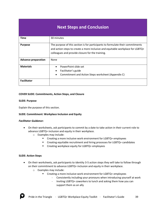# **Next Steps and Conclusion**

| <b>Time</b>                | 30 minutes                                                                                                                                                                                                           |
|----------------------------|----------------------------------------------------------------------------------------------------------------------------------------------------------------------------------------------------------------------|
| <b>Purpose</b>             | The purpose of this section is for participants to formulate their commitments<br>and action steps to create a more inclusive and equitable workplace for LGBTQ+<br>colleagues and provide closure for the training. |
| <b>Advance preparation</b> | None                                                                                                                                                                                                                 |
| <b>Materials</b>           | PowerPoint slide set<br>Facilitator's guide<br>$\bullet$<br>Commitment and Action Steps worksheet (Appendix C)                                                                                                       |
| <b>Facilitator</b>         |                                                                                                                                                                                                                      |

#### **COVER SLIDE: Commitments, Action Steps, and Closure**

#### **SLIDE: Purpose**

Explain the purpose of this section.

#### **SLIDE: Commitment: Workplace Inclusion and Equity**

#### *Facilitator Guidance***:**

- On their worksheets, ask participants to commit by a date to take action in their current role to advance LGBTQ+ inclusion and equity in their workplace.
	- o Examples may include:
		- Creating a more inclusive work environment for LGBTQ+ employees
		- Creating equitable recruitment and hiring processes for LGBTQ+ candidates
		- Creating workplace equity for LGBTQ+ employees

#### **SLIDE: Action Steps**

- On their worksheets, ask participants to identity 3-5 action steps they will take to follow through on their commitment to advance LGBTQ+ inclusion and equity in their workplace.
	- o Examples may include:
		- Creating a more inclusive work environment for LGBTQ+ employees
			- ‐ Consistently including your pronouns when introducing yourself at work
			- ‐ Inviting LGBTQ+ coworkers to lunch and asking them how you can support them as an ally

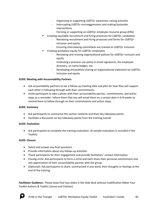- ‐ Organizing or supporting LGBTQ+ awareness-raising activities
- ‐ Interrupting LGBTQ+ microaggressions and making bystander interventions
- ‐ Forming or supporting an LGBTQ+ employee resource group (ERG)
- Creating equitable recruitment and hiring processes for LGBTQ+ candidates
	- ‐ Reviewing recruitment and hiring processes and forms for LGBTQ+ inclusion and equity
	- ‐ Ensuring interviewing committees are trained on LGBTQ+ inclusion
- Creating workplace equity for LGBTQ+ employees
	- ‐ Reviewing and revising organizational policies for LGBTQ+ inclusion and equity
	- ‐ Instituting a pronoun use policy in email signatures, the employee directory, on name badges, etc.
	- ‐ Developing and publicly sharing an organizational statement on LGBTQ+ inclusion and equity

#### **SLIDE: Meeting with Accountability Partners**

- Ask accountability partners to set a follow-up meeting date and plan for how they will support each other in following through with their commitments.
- Invite participant to take a photo with their accountability partner, commitments, and action steps as a reminder. Inform them that you will email them on a certain date in 6-8 weeks to remind them to follow through on their commitments and action steps.

#### **SLIDE: Summary**

- Ask participants to summarize the section contents and their key takeaway points.
- Facilitate a discussion on key takeaway points from the training overall.

# **SLIDE: Evaluation**

• Ask participants to complete the training evaluation. (A sample evaluation is included in the Toolkit).

# **SLIDE: Closure**

- Solicit and answer any final questions.
- Provide information about any follow-up activities.
- Thank participants for their engagement and provide facilitators' contact information
- Closing circle: Ask participants to form a circle and each share their personal commitment and one appreciation of their accountability partner with the group.
- (Optional): Ask participants to share, summarized in one word, their thoughts or feelings at the end of the training.

*Facilitator Guidance:* Please keep final two slides in the slide deck without modification (Meet Your Toolkit Authors & Toolkit License and Citation)

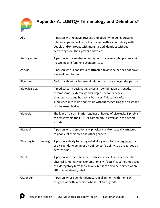

| Ally                     | A person with relative privilege and power who builds trusting<br>relationships and acts in solidarity and with accountability with<br>people and/or groups with marginalized identities without<br>detracting from their power and voices.                                  |
|--------------------------|------------------------------------------------------------------------------------------------------------------------------------------------------------------------------------------------------------------------------------------------------------------------------|
| Androgynous              | A person with a neutral or ambiguous social role who presents with<br>masculine and feminine characteristics                                                                                                                                                                 |
| Asexual                  | A person who is not sexually attracted to anyone or does not have<br>a sexual orientation                                                                                                                                                                                    |
| <b>Bicurious</b>         | Curiosity about having sexual relations with a same gender person                                                                                                                                                                                                            |
| <b>Biological Sex</b>    | A medical term designating a certain combination of gonads,<br>chromosomes, external gender organs, secondary sex<br>characteristics and hormonal balances. This term is often<br>subdivided into male and female without recognizing the existence<br>of intersexed bodies. |
| Biphobia                 | The fear of, discrimination against or hatred of bisexuals. Biphobia<br>can exist within the LGBTQ+ community, as well as in the general<br>society.                                                                                                                         |
| <b>Bisexual</b>          | A person who is emotionally, physically and/or sexually attracted<br>to people of their own and other genders.                                                                                                                                                               |
| Blending (also: Passing) | A person's ability to be regarded at a glance to be a cisgender man<br>or a cisgender woman or an LGB person's ability to be regarded as<br>heterosexual.                                                                                                                    |
| <b>Butch</b>             | A person who identifies themselves as masculine, whether it be<br>physically, mentally and/or emotionally. "Butch" is sometimes used<br>as a derogatory term for lesbians, but it can also be claimed as an<br>affirmative identity label.                                   |
| Cisgender                | A person whose gender identity is in alignment with their sex<br>assigned at birth; a person who is not transgender.                                                                                                                                                         |

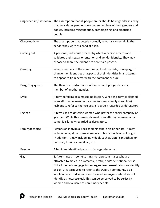| Cisgenderism/Cissexism | The assumption that all people are or should be cisgender in a way     |
|------------------------|------------------------------------------------------------------------|
|                        | that invalidates people's own understandings of their genders and      |
|                        | bodies, including misgendering, pathologizing, and binarizing          |
|                        | people.                                                                |
| Cisnormativity         | The assumption that people normally or naturally remain in the         |
|                        | gender they were assigned at birth.                                    |
| Coming out             | A personal, individual process by which a person accepts and           |
|                        | validates their sexual orientation and gender identity. They may       |
|                        | choose to share their identities or remain private.                    |
| Covering               | When members of the non-dominant culture hide, downplay, or            |
|                        | change their identities or aspects of their identities in an attempt   |
|                        | to appear to fit in better with the dominant culture.                  |
| Drag/Drag queen        | The theatrical performance of one or multiple genders as a             |
|                        | member of another gender.                                              |
| Dyke                   | A term referring to a masculine lesbian. While this term is claimed    |
|                        | in an affirmative manner by some (not necessarily masculine)           |
|                        | lesbians to refer to themselves, it is largely regarded as derogatory. |
| Fag hag                | A term used to describe women who prefer the social company of         |
|                        | gay men. While this term is claimed in an affirmative manner by        |
|                        | some, it is largely regarded as derogatory.                            |
| Family of choice       | Persons an individual sees as significant in his or her life. It may   |
|                        | include none, all, or some members of his or her family of origin.     |
|                        | In addition, it may include individuals such as significant others or  |
|                        | partners, friends, coworkers, etc.                                     |
| Femme                  | A feminine-identified person of any gender or sex                      |
| Gay                    | 1. A term used in some settings to represent males who are             |
|                        | attracted to males in a romantic, erotic, and/or emotional sense.      |
|                        | Not all men who engage in same-gendered sexual relations identify      |
|                        | as gay. 2. A term used to refer to the LGBTQ+ community as a           |
|                        | whole or as an individual identity label for anyone who does not       |
|                        | identify as heterosexual. This can be perceived to be sexist by        |
|                        | women and exclusive of non-binary people.                              |

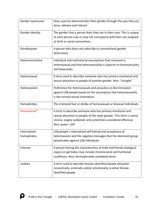| Gender expression          | How a person demonstrates their gender through the way they act,<br>dress, behave and interact                                                                                                                         |
|----------------------------|------------------------------------------------------------------------------------------------------------------------------------------------------------------------------------------------------------------------|
| Gender identity            | The gender that a person feels they are in their core. This is unique<br>to each person may or may not correspond with their sex assigned<br>at birth or social conventions.                                           |
| Genderqueer                | A person who does not subscribe to conventional gender<br>distinctions                                                                                                                                                 |
| Heteronormative            | Individual and institutional assumptions that everyone is<br>heterosexual and that heterosexuality is superior to homosexuality<br>and bisexuality                                                                     |
| Heterosexual               | A term used to describe someone who has primary emotional and<br>sexual attraction to people of another gender. Also: "straight"                                                                                       |
| Heterosexism               | Preference for heterosexuals and prejudice or discrimination<br>against LGB people based on the assumption that heterosexuality<br>is the normal sexual orientation.                                                   |
| Homophobia                 | The irrational fear or dislike of homosexuals or bisexual individuals                                                                                                                                                  |
| Homosexual*                | A term to describe someone who has primary emotional and<br>sexual attraction to people of the same gender. This term is overly<br>clinical, largely outdated, and sometimes considered offensive.<br>Also: queer, LGB |
| Internalized<br>homophobia | LGB people's internalized self-hatred and acceptance of<br>heterosexism and the negative messages that the dominant group<br>perpetuates against LGB individuals                                                       |
| Intersex                   | A person having the characteristics of male and female biological<br>organs or genitalia; may include chromosomal and hormonal<br>conditions. Also: hermaphrodite (outdated term)                                      |
| Lesbian                    | A term used to describe female-identified people attracted<br>romantically, erotically and/or emotionally to other female-<br>identified people                                                                        |

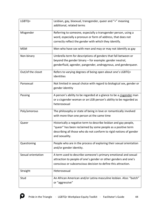| LGBTQ+             | Lesbian, gay, bisexual, transgender, queer and "+" meaning<br>additional, related terms                                                                                                                                  |
|--------------------|--------------------------------------------------------------------------------------------------------------------------------------------------------------------------------------------------------------------------|
| Misgender          | Referring to someone, especially a transgender person, using a<br>word, especially a pronoun or form of address, that does not<br>correctly reflect the gender with which they identify.                                 |
| <b>MSM</b>         | Men who have sex with men and may or may not identify as gay                                                                                                                                                             |
| Non-binary         | Umbrella term for descriptions of genders that fall between or<br>beyond the gender binary - for example: gender neutral,<br>genderfluid, agender, pangender, androgynous, and genderqueer.                              |
| Out/of the closet  | Refers to varying degrees of being open about one's LGBTQ+<br>identities                                                                                                                                                 |
| Pansexual          | Not limited in sexual choice with regard to biological sex, gender or<br>gender identity                                                                                                                                 |
| Passing            | A person's ability to be regarded at a glance to be a cisgender man<br>or a cisgender woman or an LGB person's ability to be regarded as<br>heterosexual                                                                 |
| Poly/amorous       | The philosophy or state of being in love or romantically involved<br>with more than one person at the same time                                                                                                          |
| Queer              | Historically a negative term to describe lesbian and gay people,<br>"queer" has been reclaimed by some people as a positive term<br>describing all those who do not conform to rigid notions of gender<br>and sexuality. |
| Questioning        | People who are in the process of exploring their sexual orientation<br>and/or gender identity.                                                                                                                           |
| Sexual orientation | A term used to describe someone's primary emotional and sexual<br>attraction to people of one's gender or other genders and one's<br>conscious or subconscious decision to define this attraction.                       |
| Straight           | Heterosexual                                                                                                                                                                                                             |
| Stud               | An African American and/or Latina masculine lesbian. Also: "butch"<br>or "aggressive"                                                                                                                                    |

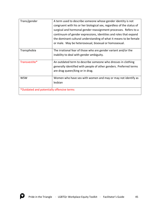| Trans/gender                              | A term used to describe someone whose gender identity is not          |
|-------------------------------------------|-----------------------------------------------------------------------|
|                                           | congruent with his or her biological sex, regardless of the status of |
|                                           | surgical and hormonal gender reassignment processes. Refers to a      |
|                                           | continuum of gender expressions, identities and roles that expand     |
|                                           | the dominant cultural understanding of what it means to be female     |
|                                           | or male. May be heterosexual, bisexual or homosexual.                 |
| Transphobia                               | The irrational fear of those who are gender variant and/or the        |
|                                           | inability to deal with gender ambiguity.                              |
| Transvestite*                             | An outdated term to describe someone who dresses in clothing          |
|                                           | generally identified with people of other genders. Preferred terms    |
|                                           | are drag queen/king or in drag.                                       |
| <b>WSW</b>                                | Women who have sex with women and may or may not identify as          |
|                                           | lesbian                                                               |
| *Outdated and potentially offensive terms |                                                                       |

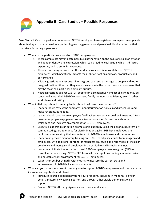

# **Appendix B: Case Studies – Possible Responses**

**Case Study 1**: Over the past year, numerous LGBTQ+ employees have registered anonymous complaints about feeling excluded as well as experiencing microaggressions and perceived discrimination by their coworkers, including supervisors.

- What are the particular concerns for LGBTQ+ employees?
	- $\circ$  These complaints may indicate possible discrimination on the basis of sexual orientation and gender identity and expression, which could lead to legal action, which is difficult, expensive, and stressful for everyone.
	- $\circ$  These actions may indicate that the work environment is inhospitable to LGBTQ+ employees, which negatively impacts their job satisfaction and work productivity and performance.
	- $\circ$  Microaggressions against one minority group can send a message to people with other marginalized identities that they are not welcome in the current work environment that may be favoring a particular dominant culture.
	- $\circ$  Microaggressions against LGBTQ+ people can also negatively impact allies who may be concerned about their LGBTQ+ coworkers, family members, and friends, even in other workplaces and settings.
- What initial steps should company leaders take to address these concerns?
	- $\circ$  Leaders should review the company's nondiscrimination policies and procedures and make revisions, as needed.
	- $\circ$  Leaders should conduct an employee feedback survey, which could be integrated into a broader employee engagement survey, to ask more specific questions about a welcoming and inclusive environment for LGBTQ+ employees.
	- $\circ$  Executive leadership can set an example of inclusion by using their pronouns, internally communicating zero tolerance for discrimination against LGBTQ+ employees, and publicly communicating their commitment to LGBTQ+ employees and communities.
	- $\circ$  Leaders can provide mandatory training on LGBTQ+ workplace equity for managers and employees, with additional content for managers on serving as a role model of inclusion excellence and managing all employees in an equitable and inclusive manner.
	- o Leaders can initiate the formation of an LGBTQ+ employee resource group (ERG) or consult with the existing LGBTQ+ ERG to solicit their input on creating a more inclusive and equitable work environment for LGBTQ+ employees.
	- $\circ$  Leaders can set benchmarks with metrics to measure the current state and improvements in LGBTQ+ inclusion and equity.
- What can you do in your current company role to support LGBTQ+ employees and create a more inclusive and equitable workplace?
	- $\circ$  Introduce yourself consistently using your pronouns, including in meetings, on your email signature, by wearing a button, and through other visible demonstrations of support.
	- o Post an LGBTQ+ affirming sign or sticker in your workspace.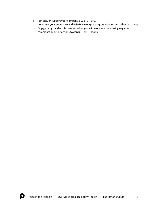- o Join and/or support your company's LGBTQ+ ERG.
- o Volunteer your assistance with LGBTQ+ workplace equity training and other initiatives.
- o Engage in bystander intervention when you witness someone making negative comments about or actions towards LGBTQ+ people.

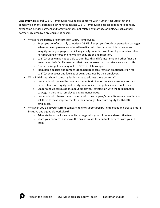**Case Study 2**: Several LGBTQ+ employees have raised concerns with Human Resources that the company's benefits package discriminates against LGBTQ+ employees because it does not equitably cover same-gender partners and family members not related by marriage or biology, such as their partner's children by a previous relationship.

- What are the particular concerns for LGBTQ+ employees?
	- o Employee benefits usually comprise 30-35% of employers' total compensation packages. When some employees are offered benefits that others are not, this indicates an inequity among employees, which negatively impacts current employees and can also hurt recruiting efforts and new talent acquisition and retention.
	- $\circ$  LGBTQ+ people may not be able to offer health and life insurance and other financial security for their family members that their heterosexual coworkers are able to offer.
	- o Non-inclusive policies marginalize LGBTQ+ relationships.
	- $\circ$  Inequitable policies and compensation packages can create an emotional strain for LGBTQ+ employees and feelings of being devalued by their employer.
- What initial steps should company leaders take to address these concerns?
	- o Leaders should review the company's nondiscrimination policies, make revisions as needed to ensure equity, and clearly communicate the policies to all employees.
	- $\circ$  Leaders should ask questions about employees' satisfaction with the total benefits package in the annual employee engagement survey.
	- $\circ$  Leaders should discuss these concerns with the company's benefits service provider and ask them to make improvements in their packages to ensure equity for LGBTQ+ employees.
- What can you do in your current company role to support LGBTQ+ employees and create a more inclusive and equitable workplace?
	- $\circ$  Advocate for an inclusive benefits package with your HR team and executive team.
	- $\circ$  Share your concerns and make the business case for equitable benefits with your HR team.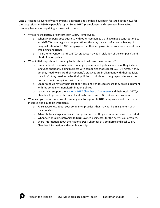**Case 3**: Recently, several of your company's partners and vendors have been featured in the news for their opposition to LGBTQ+ people's rights. Some LGBTQ+ employees and customers have asked company leaders to stop doing business with them.

- What are the particular concerns for LGBTQ+ employees?
	- $\circ$  When a company does business with other companies that have made contributions to anti-LGBTQ+ campaigns and organizations, this may create conflict and a feeling of marginalization for LGBTQ+ employees that their employer is not concerned about their well being and rights.
	- $\circ$  A partner or vendor's anti-LGBTQ+ practices may be in violation of the company's antidiscrimination policy.
- What initial steps should company leaders take to address these concerns?
	- $\circ$  Leaders should research their company's procurement policies to ensure they include language about only doing business with companies that respect LGBTQ+ rights. If they do, they need to ensure their company's practices are in alignment with their policies. If they don't, they need to revise their policies to include such language and ensure their practices are in compliance with them.
	- $\circ$  Leaders should review their list of partners and vendors to ensure they are in alignment with the company's nondiscrimination policies.
	- o Leaders can support the [National LGBT Chamber of Commerce](https://www.nglcc.org/) and their local LGBTQ+ Chamber to proactively connect and do business with LGBTQ+-owned businesses.
- What can you do in your current company role to support LGBTQ+ employees and create a more inclusive and equitable workplace?
	- $\circ$  Raise awareness about your company's practices that may not be in alignment with their policies.
	- o Advocate for changes to policies and procedures so they are more inclusive, as needed.
	- $\circ$  Whenever possible, patronize LGBTQ+-owned businesses for the events you organize.
	- $\circ$  Share information about the National LGBT Chamber of Commerce and local LGBTQ+ Chamber information with your leadership.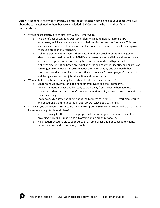**Case 4**: A leader at one of your company's largest clients recently complained to your company's CEO about the team assigned to them because it included LGBTQ+ people who made them "feel uncomfortable."

- What are the particular concerns for LGBTQ+ employees?
	- o The client's act of targeting LGBTQ+ professionals is demoralizing for LGBTQ+ employees, which can negatively impact their motivation and performance. This can also cause an employee to question and feel concerned about whether their employer will take a stand in their support.
	- $\circ$  A client's discrimination against them based on their sexual orientation and gender identity and expression can limit LGBTQ+ employees' career visibility and performance and have a negative impact on their job performance and growth potential.
	- $\circ$  A client's discrimination based on sexual orientation and gender identity and expression can trigger an employee's insecurity about their own validity and self worth that is rooted on broader societal oppression. This can be harmful to employees' health and well being as well as their job satisfaction and performance.
- What initial steps should company leaders take to address these concerns?
	- o Leaders should always stand behind their employees and their company's nondiscrimination policy and be ready to walk away from a client when needed.
	- $\circ$  Leaders could research the client's nondiscrimination policy to see if their actions violate their own policy.
	- $\circ$  Leaders could educate the client about the business case for LGBTQ+ workplace equity and encourage them to undergo in LGBTQ+ workplace equity training.
- What can you do in your current company role to support LGBTQ+ employees and create a more inclusive and equitable workplace?
	- $\circ$  Serve as an ally for the LGBTQ+ employees who were targeted by this complaint by providing individual support and advocating on an organizational level.
	- $\circ$  Hold leaders accountable to support LGBTQ+ employees and not concede to clients' unreasonable and discriminatory complaints.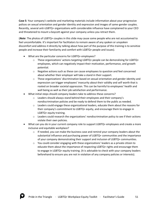**Case 5**: Your company's website and marketing materials include information about your progressive polices on sexual orientation and gender identity and expression and images of same-gender couples. Recently, several anti-LGBTQ+ organizations with considerable influence have complained to your CEO and threatened to mount a boycott against your company unless you retract them.

(*Note*: The photos of LGBTQ+ couples in this slide may cause some people who are not accustomed to feel uncomfortable. It's important for facilitators to remain aware of any spoken or unspoken discomfort and address it directly by talking about how part of the purpose of this training is to sensitize people and increase their familiarity and comfort with LGBTQ+ people and issues).

- What are the particular concerns for LGBTQ+ employees?
	- $\circ$  These organizations' actions targeting LGBTQ+ people can be demoralizing for LGBTQ+ employees, which can negatively impact their motivation, performance, and growth potential.
	- $\circ$  Negative actions such as these can cause employees to question and feel concerned about whether their employer will take a stand in their support.
	- $\circ$  These organizations' discrimination based on sexual orientation and gender identity and expression can trigger employees' insecurity about their validity and self worth that is rooted on broader societal oppression. This can be harmful to employees' health and well being as well as their job satisfaction and performance.
- What initial steps should company leaders take to address these concerns?
	- $\circ$  Leaders should always stand behind their employees and their company's nondiscrimination policies and be ready to defend them to the public as needed.
	- $\circ$  Leaders could engage these organizational leaders, educate them about the reasons for their company's commitment to LGBTQ+ equity, and encourage them to engage in LGBTQ+ equity training.
	- $\circ$  Leaders could research the organizations' nondiscrimination policy to see if their actions violate their own policies.
- What can you do in your current company role to support LGBTQ+ employees and create a more inclusive and equitable workplace?
	- $\circ$  If needed, you can make the business case and remind your company leaders about the substantial influence and purchasing power of LGBTQ+ communities and the importance of your company demonstrating their support and inclusion of LGBTQ+ communities.
	- $\circ$  You could consider engaging with these organizations' leaders as a private citizen to educate them about the importance of respecting LGBTQ+ rights and encourage them to engage in LGBTQ+ equity training. (It is advisable to check with your company leaders beforehand to ensure you are not in violation of any company policies or interests).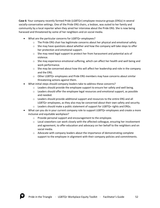**Case 6**: Your company recently formed Pride (LGBTQ+) employee resource groups (ERGs) in several socially-conservative settings. One of the Pride ERG chairs, a lesbian, was outed to her family and community by a local reporter when they aired her interview about the Pride ERG. She is now being harassed and threatened by some of her neighbors and on social media.

- What are the particular concerns for LGBTQ+ employees?
	- $\circ$  The Pride ERG chair has legitimate concerns about her physical and emotional safety.
	- $\circ$  She may have questions about whether and how the company will take steps to offer her protection and emotional support.
	- $\circ$  She may need legal support to protect her from harassment and potential acts of violence.
	- $\circ$  She may experience emotional suffering, which can affect her health and well being and work performance.
	- $\circ$  She may be concerned about how this will affect her leadership and role in the company and the ERG.
	- o Other LGBTQ+ employees and Pride ERG members may have concerns about similar threatening actions against them.
- What initial steps should company leaders take to address these concerns?
	- $\circ$  Leaders should provide the employee support to ensure her safety and well being.
	- $\circ$  Leaders should offer the employee legal resources and emotional support, as possible and needed.
	- $\circ$  Leaders should provide additional support and resources to the entire ERG and all LGBTQ+ employees, as they also may be concerned about their own safety and security.
	- o Leaders should make a public statement of support for LGBTQ+ rights and ERGs.
- What can you do in your current company role to support LGBTQ+ employees and create a more inclusive and equitable workplace?
	- o Provide personal support and encouragement to the employee.
	- $\circ$  Local coworkers can work closely with the affected colleague, ensuring her involvement and agreement, to offer education and advocacy on her behalf to the neighbors and on social media.
	- $\circ$  Advocate with company leaders about the importance of demonstrating complete support to the employee in alignment with their company policies and commitments.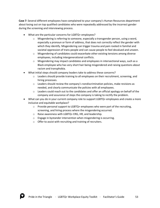**Case 7**: Several different employees have complained to your company's Human Resources department about losing out on top qualified candidates who were repeatedly addressed by the incorrect gender during the screening and interviewing process.

- What are the particular concerns for LGBTQ+ employees?
	- Misgendering is referring to someone, especially a transgender person, using a word, especially a pronoun or form of address, that does not correctly reflect the gender with which they identify. Misgendering can trigger trauma and pain rooted in familial and societal oppression of trans people and can cause people to feel devalued and unseen.
	- $\circ$  Misgendering of candidates could exacerbate other existing tensions among diverse employees, including intergenerational conflicts.
	- $\circ$  Misgendering may impact candidates and employees in intersectional ways, such as a Black employee who has very short hair being misgendered and raising questions about racism and transphobia.
- What initial steps should company leaders take to address these concerns?
	- $\circ$  Leaders should provide training to all employees on their recruitment, screening, and hiring processes.
	- $\circ$  Leaders should review the company's nondiscrimination policies, make revisions as needed, and clearly communicate the policies with all employees.
	- $\circ$  Leaders could reach out to the candidates and offer an official apology on behalf of the company and assurance of steps the company is taking to rectify the problem.
- What can you do in your current company role to support LGBTQ+ employees and create a more inclusive and equitable workplace?
	- $\circ$  Provide personal support to LGBTQ+ employees who were part of the recruiting, screening, and hiring process where the misgendering occurred.
	- o Raise awareness with LGBTQ+ ERG, HR, and leadership.
	- o Engage in bystander intervention when misgendering is occurring.
	- o Offer to assist with recruiting and training of recruiters.